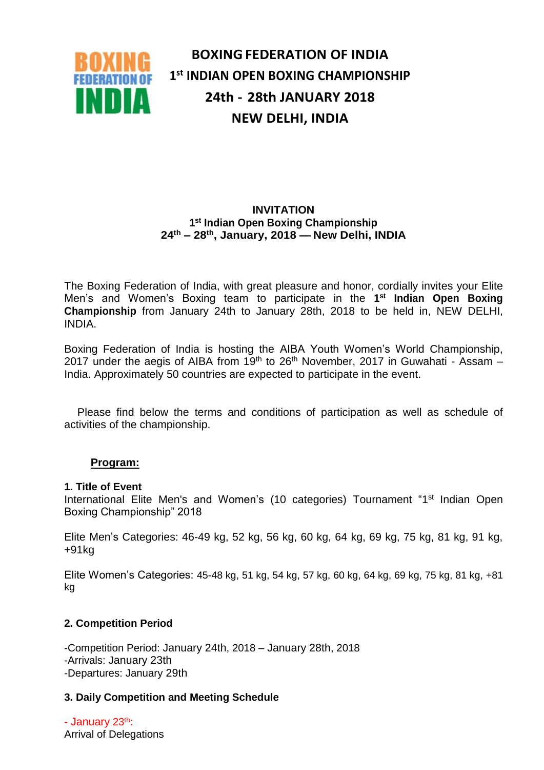

## **INVITATION 1 st Indian Open Boxing Championship 24 th – 28 th, January, 2018 — New Delhi, INDIA**

The Boxing Federation of India, with great pleasure and honor, cordially invites your Elite Men's and Women's Boxing team to participate in the **1 st Indian Open Boxing Championship** from January 24th to January 28th, 2018 to be held in, NEW DELHI, INDIA.

Boxing Federation of India is hosting the AIBA Youth Women's World Championship, 2017 under the aegis of AIBA from 19<sup>th</sup> to 26<sup>th</sup> November, 2017 in Guwahati - Assam  $-$ India. Approximately 50 countries are expected to participate in the event.

Please find below the terms and conditions of participation as well as schedule of activities of the championship.

### **Program:**

#### **1. Title of Event**

International Elite Men's and Women's (10 categories) Tournament "1<sup>st</sup> Indian Open Boxing Championship" 2018

Elite Men's Categories: 46-49 kg, 52 kg, 56 kg, 60 kg, 64 kg, 69 kg, 75 kg, 81 kg, 91 kg, +91kg

Elite Women's Categories: 45-48 kg, 51 kg, 54 kg, 57 kg, 60 kg, 64 kg, 69 kg, 75 kg, 81 kg, +81 kg

#### **2. Competition Period**

-Competition Period: January 24th, 2018 – January 28th, 2018 -Arrivals: January 23th -Departures: January 29th

#### **3. Daily Competition and Meeting Schedule**

- January 23<sup>th</sup>: Arrival of Delegations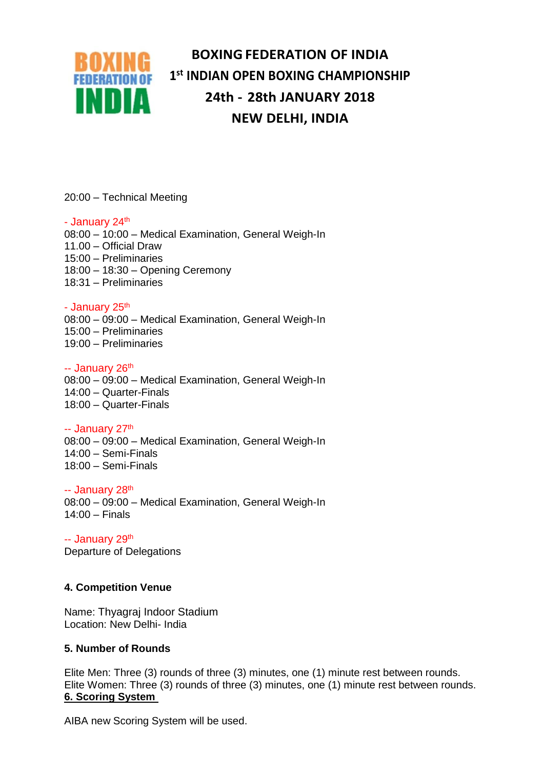

20:00 – Technical Meeting

#### - January 24<sup>th</sup>

08:00 – 10:00 – Medical Examination, General Weigh-In 11.00 – Official Draw 15:00 – Preliminaries 18:00 – 18:30 – Opening Ceremony 18:31 – Preliminaries

- January 25<sup>th</sup>

08:00 – 09:00 – Medical Examination, General Weigh-In 15:00 – Preliminaries 19:00 – Preliminaries

#### -- January 26<sup>th</sup>

08:00 – 09:00 – Medical Examination, General Weigh-In 14:00 – Quarter-Finals 18:00 – Quarter-Finals

-- January 27<sup>th</sup>

08:00 – 09:00 – Medical Examination, General Weigh-In 14:00 – Semi-Finals 18:00 – Semi-Finals

-- January 28<sup>th</sup> 08:00 – 09:00 – Medical Examination, General Weigh-In 14:00 – Finals

-- January 29<sup>th</sup> Departure of Delegations

## **4. Competition Venue**

Name: Thyagraj Indoor Stadium Location: New Delhi- India

### **5. Number of Rounds**

Elite Men: Three (3) rounds of three (3) minutes, one (1) minute rest between rounds. Elite Women: Three (3) rounds of three (3) minutes, one (1) minute rest between rounds. **6. Scoring System**

AIBA new Scoring System will be used.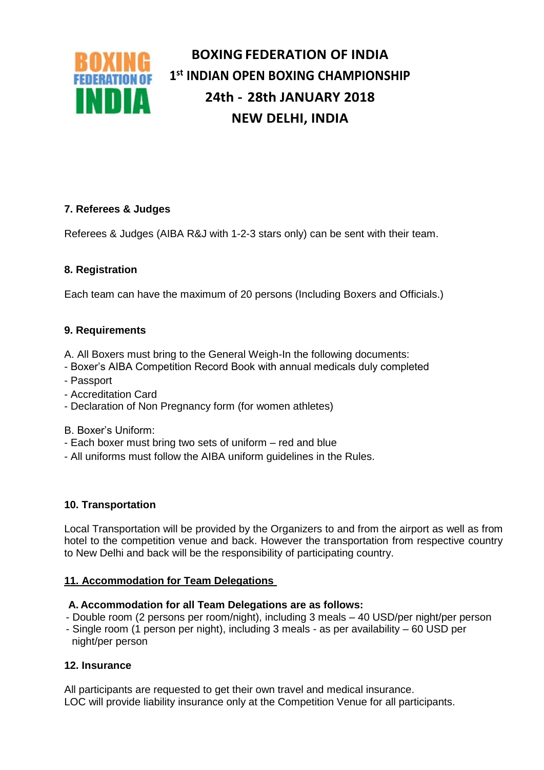

## **7. Referees & Judges**

Referees & Judges (AIBA R&J with 1-2-3 stars only) can be sent with their team.

### **8. Registration**

Each team can have the maximum of 20 persons (Including Boxers and Officials.)

### **9. Requirements**

A. All Boxers must bring to the General Weigh-In the following documents:

- Boxer's AIBA Competition Record Book with annual medicals duly completed
- Passport
- Accreditation Card
- Declaration of Non Pregnancy form (for women athletes)

B. Boxer's Uniform:

- Each boxer must bring two sets of uniform red and blue
- All uniforms must follow the AIBA uniform guidelines in the Rules.

### **10. Transportation**

Local Transportation will be provided by the Organizers to and from the airport as well as from hotel to the competition venue and back. However the transportation from respective country to New Delhi and back will be the responsibility of participating country.

### **11. Accommodation for Team Delegations**

#### **A. Accommodation for all Team Delegations are as follows:**

- Double room (2 persons per room/night), including 3 meals 40 USD/per night/per person
- Single room (1 person per night), including 3 meals as per availability 60 USD per night/per person

### **12. Insurance**

All participants are requested to get their own travel and medical insurance. LOC will provide liability insurance only at the Competition Venue for all participants.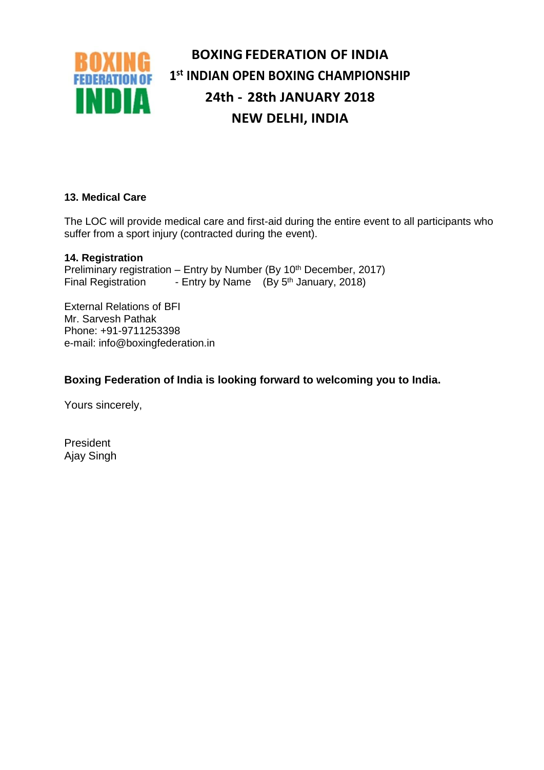

#### **13. Medical Care**

The LOC will provide medical care and first-aid during the entire event to all participants who suffer from a sport injury (contracted during the event).

**14. Registration** Preliminary registration – Entry by Number (By 10<sup>th</sup> December, 2017) Final Registration - Entry by Name (By 5<sup>th</sup> January, 2018)

External Relations of BFI Mr. Sarvesh Pathak Phone: +91-9711253398 e-mail: info@boxingfederation.in

### **Boxing Federation of India is looking forward to welcoming you to India.**

Yours sincerely,

President Ajay Singh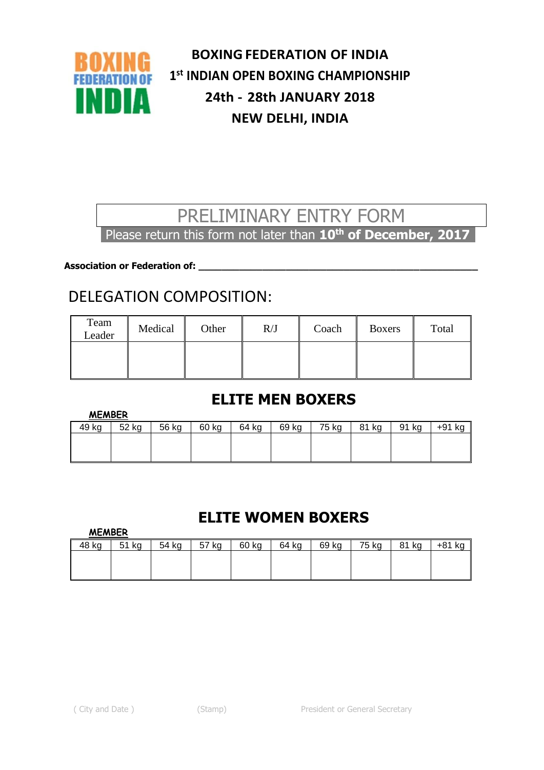

# PRELIMINARY ENTRY FORM --Please return this form not later than **10th of December, 2017-**

**Association or Federation of:** 

# DELEGATION COMPOSITION:

| Team<br>Leader | Medical | Other | R/J | Coach | <b>Boxers</b> | Total |
|----------------|---------|-------|-----|-------|---------------|-------|
|                |         |       |     |       |               |       |

# **ELITE MEN BOXERS**

| <b>MEMBER</b> |       |       |       |       |       |       |       |       |             |
|---------------|-------|-------|-------|-------|-------|-------|-------|-------|-------------|
| 49 kg         | 52 kg | 56 kg | 60 kg | 64 kg | 69 kg | 75 kg | 81 kg | 91 kg | $+91$<br>ka |
|               |       |       |       |       |       |       |       |       |             |
|               |       |       |       |       |       |       |       |       |             |
|               |       |       |       |       |       |       |       |       |             |

# **ELITE WOMEN BOXERS**

**MEMBER**

**MEMBER**

| 48 kg | 51 kg | 54 kg | 57 kg | 60 kg | 64 kg | 69 kg | 75 kg | 81 kg | $+81$ kg |
|-------|-------|-------|-------|-------|-------|-------|-------|-------|----------|
|       |       |       |       |       |       |       |       |       |          |
|       |       |       |       |       |       |       |       |       |          |
|       |       |       |       |       |       |       |       |       |          |